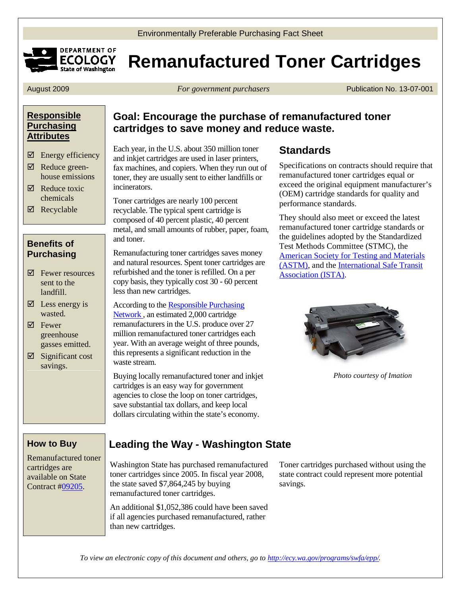



# **ECOLOGY Remanufactured Toner Cartridges**

August 2009 *For government purchasers* Publication No. 13-07-001

### **[Responsible](http://www.ecy.wa.gov/beyondwaste/epp/prod_attribute.html)  [Purchasing](http://www.ecy.wa.gov/beyondwaste/epp/prod_attribute.html)  [Attributes](http://www.ecy.wa.gov/beyondwaste/epp/prod_attribute.html)**

- $\boxtimes$  Energy efficiency
- $\boxtimes$  Reduce greenhouse emissions
- $\boxtimes$  Reduce toxic chemicals
- $\boxtimes$  Recyclable

### **Benefits of Purchasing**

- Fewer resources sent to the landfill.
- $\boxtimes$  Less energy is wasted.
- $\nabla$  Fewer greenhouse gasses emitted.
- $\boxtimes$  Significant cost savings.

## **Goal: Encourage the purchase of remanufactured toner cartridges to save money and reduce waste.**

Each year, in the U.S. about 350 million toner and inkjet cartridges are used in laser printers, fax machines, and copiers. When they run out of toner, they are usually sent to either landfills or incinerators.

Toner cartridges are nearly 100 percent recyclable. The typical spent cartridge is composed of 40 percent plastic, 40 percent metal, and small amounts of rubber, paper, foam, and toner.

Remanufacturing toner cartridges saves money and natural resources. Spent toner cartridges are refurbished and the toner is refilled. On a per copy basis, they typically cost 30 - 60 percent less than new cartridges.

According to th[e Responsible Purchasing](http://www.responsiblepurchasing.org/)  [Network ,](http://www.responsiblepurchasing.org/) an estimated 2,000 cartridge remanufacturers in the U.S. produce over 27 million remanufactured toner cartridges each year. With an average weight of three pounds, this represents a significant reduction in the waste stream.

Buying locally remanufactured toner and inkjet cartridges is an easy way for government agencies to close the loop on toner cartridges, save substantial tax dollars, and keep local dollars circulating within the state's economy.

# **Standards**

Specifications on contracts should require that remanufactured toner cartridges equal or exceed the original equipment manufacturer's (OEM) cartridge standards for quality and performance standards.

They should also meet or exceed the latest remanufactured toner cartridge standards or the guidelines adopted by the Standardized Test Methods Committee (STMC), the [American Society for Testing and Materials](http://www.astm.org/)  [\(ASTM\),](http://www.astm.org/) and the [International Safe Transit](http://www.ista.org/)  [Association \(ISTA\).](http://www.ista.org/)



*Photo courtesy of Imation*

### **How to Buy**

Remanufactured toner cartridges are available on State Contract [#09205.](https://fortress.wa.gov/ga/apps/ContractSearch/ContractSummary.aspx?c=09205)

# **Leading the Way - Washington State**

Washington State has purchased remanufactured toner cartridges since 2005. In fiscal year 2008, the state saved \$7,864,245 by buying remanufactured toner cartridges.

An additional \$1,052,386 could have been saved if all agencies purchased remanufactured, rather than new cartridges.

Toner cartridges purchased without using the state contract could represent more potential savings.

*To view an electronic copy of this document and others, go to <http://ecy.wa.gov/programs/swfa/epp/>.*